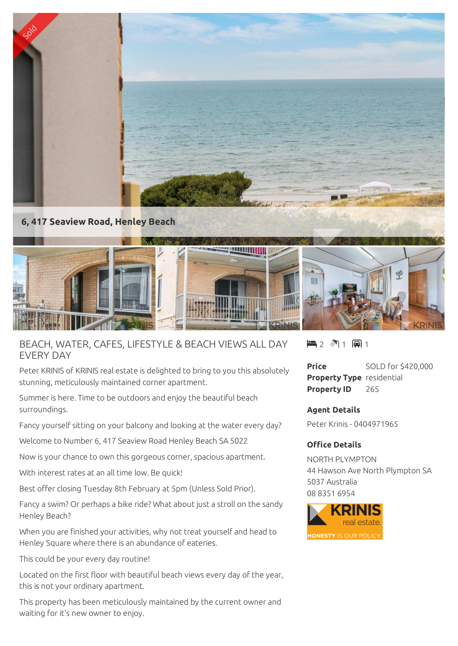

**6, 417 Seaview Road, Henley Beach**



BEACH, WATER, CAFES, LIFESTYLE & BEACH VIEWS ALL DAY EVERY DAY

Peter KRINIS of KRINIS real estate is delighted to bring to you this absolutely stunning, meticulously maintained corner apartment.

Summer is here. Time to be outdoors and enjoy the beautiful beach surroundings.

Fancy yourself sitting on your balcony and looking at the water every day?

Welcome to Number 6, 417 Seaview Road Henley Beach SA 5022

Now is your chance to own this gorgeous corner, spacious apartment.

With interest rates at an all time low. Be quick!

Best offer closing Tuesday 8th February at 5pm (Unless Sold Prior).

Fancy a swim? Or perhaps a bike ride? What about just a stroll on the sandy Henley Beach?

When you are finished your activities, why not treat yourself and head to Henley Square where there is an abundance of eateries.

This could be your every day routine!

Located on the first floor with beautiful beach views every day of the year, this is not your ordinary apartment.

This property has been meticulously maintained by the current owner and waiting for it's new owner to enjoy.

 $\blacksquare$  2  $\blacksquare$  1  $\blacksquare$  1

**Price** SOLD for \$420,000 **Property Type** residential **Property ID** 265

**Agent Details** Peter Krinis - 0404971965

## **Office Details**

NORTH PLYMPTON 44 Hawson Ave North Plympton SA 5037 Australia 08 8351 6954